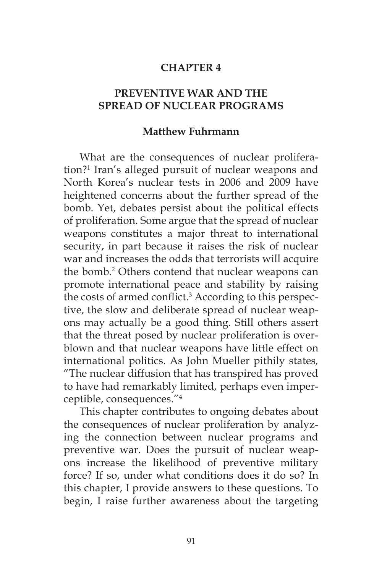## **CHAPTER 4**

# **PREVENTIVE WAR AND THE SPREAD OF NUCLEAR PROGRAMS**

#### **Matthew Fuhrmann**

What are the consequences of nuclear proliferation?<sup>1</sup> Iran's alleged pursuit of nuclear weapons and North Korea's nuclear tests in 2006 and 2009 have heightened concerns about the further spread of the bomb. Yet, debates persist about the political effects of proliferation. Some argue that the spread of nuclear weapons constitutes a major threat to international security, in part because it raises the risk of nuclear war and increases the odds that terrorists will acquire the bomb.<sup>2</sup> Others contend that nuclear weapons can promote international peace and stability by raising the costs of armed conflict.<sup>3</sup> According to this perspective, the slow and deliberate spread of nuclear weapons may actually be a good thing. Still others assert that the threat posed by nuclear proliferation is overblown and that nuclear weapons have little effect on international politics. As John Mueller pithily states*,* "The nuclear diffusion that has transpired has proved to have had remarkably limited, perhaps even imperceptible, consequences."4

This chapter contributes to ongoing debates about the consequences of nuclear proliferation by analyzing the connection between nuclear programs and preventive war. Does the pursuit of nuclear weapons increase the likelihood of preventive military force? If so, under what conditions does it do so? In this chapter, I provide answers to these questions. To begin, I raise further awareness about the targeting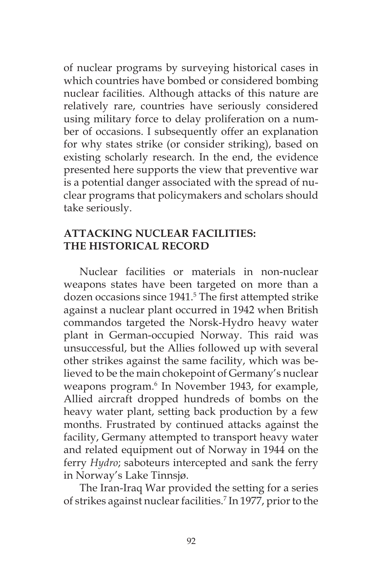of nuclear programs by surveying historical cases in which countries have bombed or considered bombing nuclear facilities. Although attacks of this nature are relatively rare, countries have seriously considered using military force to delay proliferation on a number of occasions. I subsequently offer an explanation for why states strike (or consider striking), based on existing scholarly research. In the end, the evidence presented here supports the view that preventive war is a potential danger associated with the spread of nuclear programs that policymakers and scholars should take seriously.

## **ATTACKING NUCLEAR FACILITIES: THE HISTORICAL RECORD**

Nuclear facilities or materials in non-nuclear weapons states have been targeted on more than a dozen occasions since 1941.<sup>5</sup> The first attempted strike against a nuclear plant occurred in 1942 when British commandos targeted the Norsk-Hydro heavy water plant in German-occupied Norway. This raid was unsuccessful, but the Allies followed up with several other strikes against the same facility, which was believed to be the main chokepoint of Germany's nuclear weapons program.<sup>6</sup> In November 1943, for example, Allied aircraft dropped hundreds of bombs on the heavy water plant, setting back production by a few months. Frustrated by continued attacks against the facility, Germany attempted to transport heavy water and related equipment out of Norway in 1944 on the ferry *Hydro*; saboteurs intercepted and sank the ferry in Norway's Lake Tinnsjø.

The Iran-Iraq War provided the setting for a series of strikes against nuclear facilities.<sup>7</sup> In 1977, prior to the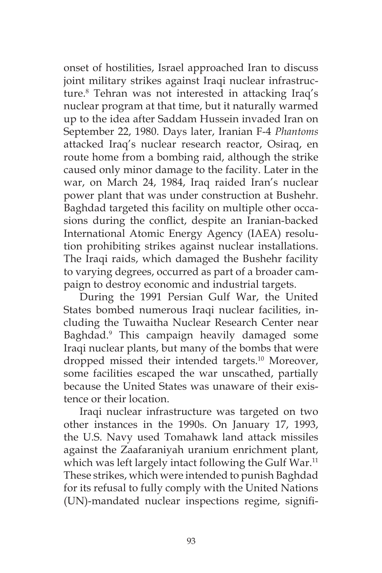onset of hostilities, Israel approached Iran to discuss joint military strikes against Iraqi nuclear infrastructure.8 Tehran was not interested in attacking Iraq's nuclear program at that time, but it naturally warmed up to the idea after Saddam Hussein invaded Iran on September 22, 1980. Days later, Iranian F-4 *Phantoms* attacked Iraq's nuclear research reactor, Osiraq, en route home from a bombing raid, although the strike caused only minor damage to the facility. Later in the war, on March 24, 1984, Iraq raided Iran's nuclear power plant that was under construction at Bushehr. Baghdad targeted this facility on multiple other occasions during the conflict, despite an Iranian-backed International Atomic Energy Agency (IAEA) resolution prohibiting strikes against nuclear installations. The Iraqi raids, which damaged the Bushehr facility to varying degrees, occurred as part of a broader campaign to destroy economic and industrial targets.

During the 1991 Persian Gulf War, the United States bombed numerous Iraqi nuclear facilities, including the Tuwaitha Nuclear Research Center near Baghdad.9 This campaign heavily damaged some Iraqi nuclear plants, but many of the bombs that were dropped missed their intended targets.10 Moreover, some facilities escaped the war unscathed, partially because the United States was unaware of their existence or their location.

Iraqi nuclear infrastructure was targeted on two other instances in the 1990s. On January 17, 1993, the U.S. Navy used Tomahawk land attack missiles against the Zaafaraniyah uranium enrichment plant, which was left largely intact following the Gulf War.<sup>11</sup> These strikes, which were intended to punish Baghdad for its refusal to fully comply with the United Nations (UN)-mandated nuclear inspections regime, signifi-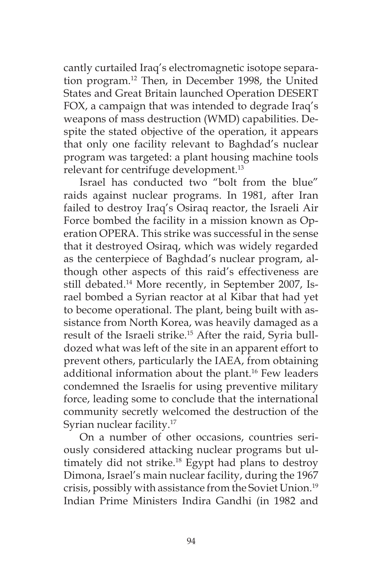cantly curtailed Iraq's electromagnetic isotope separation program.12 Then, in December 1998, the United States and Great Britain launched Operation DESERT FOX, a campaign that was intended to degrade Iraq's weapons of mass destruction (WMD) capabilities. Despite the stated objective of the operation, it appears that only one facility relevant to Baghdad's nuclear program was targeted: a plant housing machine tools relevant for centrifuge development.13

Israel has conducted two "bolt from the blue" raids against nuclear programs. In 1981, after Iran failed to destroy Iraq's Osiraq reactor, the Israeli Air Force bombed the facility in a mission known as Operation OPERA. This strike was successful in the sense that it destroyed Osiraq, which was widely regarded as the centerpiece of Baghdad's nuclear program, although other aspects of this raid's effectiveness are still debated.<sup>14</sup> More recently, in September 2007, Israel bombed a Syrian reactor at al Kibar that had yet to become operational. The plant, being built with assistance from North Korea, was heavily damaged as a result of the Israeli strike.<sup>15</sup> After the raid, Syria bulldozed what was left of the site in an apparent effort to prevent others, particularly the IAEA, from obtaining additional information about the plant.<sup>16</sup> Few leaders condemned the Israelis for using preventive military force, leading some to conclude that the international community secretly welcomed the destruction of the Syrian nuclear facility.17

On a number of other occasions, countries seriously considered attacking nuclear programs but ultimately did not strike.<sup>18</sup> Egypt had plans to destroy Dimona, Israel's main nuclear facility, during the 1967 crisis, possibly with assistance from the Soviet Union.19 Indian Prime Ministers Indira Gandhi (in 1982 and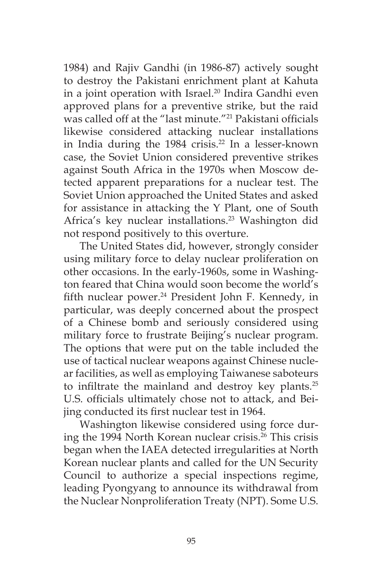1984) and Rajiv Gandhi (in 1986-87) actively sought to destroy the Pakistani enrichment plant at Kahuta in a joint operation with Israel.<sup>20</sup> Indira Gandhi even approved plans for a preventive strike, but the raid was called off at the "last minute."21 Pakistani officials likewise considered attacking nuclear installations in India during the  $1984$  crisis.<sup>22</sup> In a lesser-known case, the Soviet Union considered preventive strikes against South Africa in the 1970s when Moscow detected apparent preparations for a nuclear test. The Soviet Union approached the United States and asked for assistance in attacking the Y Plant, one of South Africa's key nuclear installations.<sup>23</sup> Washington did not respond positively to this overture.

The United States did, however, strongly consider using military force to delay nuclear proliferation on other occasions. In the early-1960s, some in Washington feared that China would soon become the world's fifth nuclear power.<sup>24</sup> President John F. Kennedy, in particular, was deeply concerned about the prospect of a Chinese bomb and seriously considered using military force to frustrate Beijing's nuclear program. The options that were put on the table included the use of tactical nuclear weapons against Chinese nuclear facilities, as well as employing Taiwanese saboteurs to infiltrate the mainland and destroy key plants.<sup>25</sup> U.S. officials ultimately chose not to attack, and Beijing conducted its first nuclear test in 1964.

Washington likewise considered using force during the 1994 North Korean nuclear crisis.<sup>26</sup> This crisis began when the IAEA detected irregularities at North Korean nuclear plants and called for the UN Security Council to authorize a special inspections regime, leading Pyongyang to announce its withdrawal from the Nuclear Nonproliferation Treaty (NPT). Some U.S.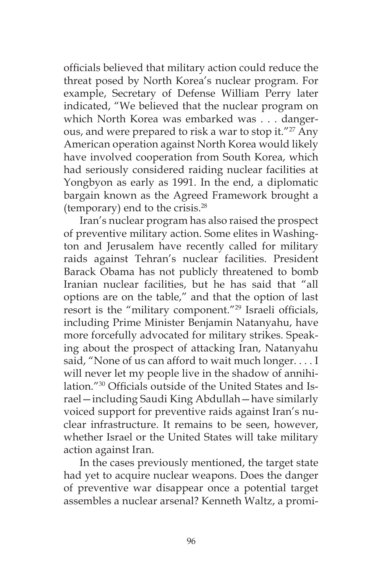officials believed that military action could reduce the threat posed by North Korea's nuclear program. For example, Secretary of Defense William Perry later indicated, "We believed that the nuclear program on which North Korea was embarked was . . . dangerous, and were prepared to risk a war to stop it."<sup>27</sup> Any American operation against North Korea would likely have involved cooperation from South Korea, which had seriously considered raiding nuclear facilities at Yongbyon as early as 1991. In the end, a diplomatic bargain known as the Agreed Framework brought a (temporary) end to the crisis.28

Iran's nuclear program has also raised the prospect of preventive military action. Some elites in Washington and Jerusalem have recently called for military raids against Tehran's nuclear facilities. President Barack Obama has not publicly threatened to bomb Iranian nuclear facilities, but he has said that "all options are on the table," and that the option of last resort is the "military component."29 Israeli officials, including Prime Minister Benjamin Natanyahu, have more forcefully advocated for military strikes. Speaking about the prospect of attacking Iran, Natanyahu said, "None of us can afford to wait much longer.... I will never let my people live in the shadow of annihilation."30 Officials outside of the United States and Israel—including Saudi King Abdullah—have similarly voiced support for preventive raids against Iran's nuclear infrastructure. It remains to be seen, however, whether Israel or the United States will take military action against Iran.

In the cases previously mentioned, the target state had yet to acquire nuclear weapons. Does the danger of preventive war disappear once a potential target assembles a nuclear arsenal? Kenneth Waltz, a promi-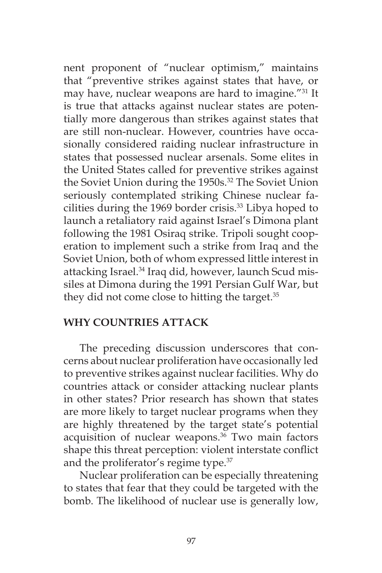nent proponent of "nuclear optimism," maintains that "preventive strikes against states that have, or may have, nuclear weapons are hard to imagine."31 It is true that attacks against nuclear states are potentially more dangerous than strikes against states that are still non-nuclear. However, countries have occasionally considered raiding nuclear infrastructure in states that possessed nuclear arsenals. Some elites in the United States called for preventive strikes against the Soviet Union during the 1950s.<sup>32</sup> The Soviet Union seriously contemplated striking Chinese nuclear facilities during the 1969 border crisis.<sup>33</sup> Libya hoped to launch a retaliatory raid against Israel's Dimona plant following the 1981 Osiraq strike. Tripoli sought cooperation to implement such a strike from Iraq and the Soviet Union, both of whom expressed little interest in attacking Israel.<sup>34</sup> Iraq did, however, launch Scud missiles at Dimona during the 1991 Persian Gulf War, but they did not come close to hitting the target.<sup>35</sup>

### **WHY COUNTRIES ATTACK**

The preceding discussion underscores that concerns about nuclear proliferation have occasionally led to preventive strikes against nuclear facilities. Why do countries attack or consider attacking nuclear plants in other states? Prior research has shown that states are more likely to target nuclear programs when they are highly threatened by the target state's potential acquisition of nuclear weapons.<sup>36</sup> Two main factors shape this threat perception: violent interstate conflict and the proliferator's regime type.<sup>37</sup>

Nuclear proliferation can be especially threatening to states that fear that they could be targeted with the bomb. The likelihood of nuclear use is generally low,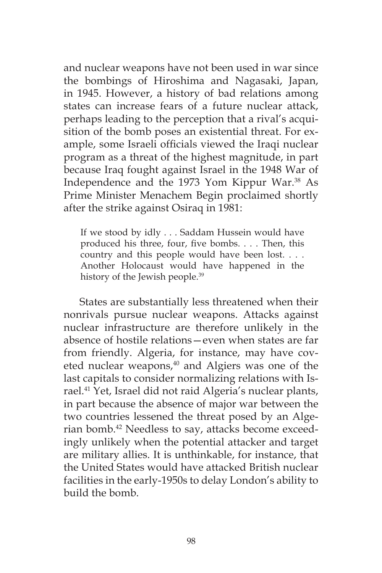and nuclear weapons have not been used in war since the bombings of Hiroshima and Nagasaki, Japan, in 1945. However, a history of bad relations among states can increase fears of a future nuclear attack, perhaps leading to the perception that a rival's acquisition of the bomb poses an existential threat. For example, some Israeli officials viewed the Iraqi nuclear program as a threat of the highest magnitude, in part because Iraq fought against Israel in the 1948 War of Independence and the 1973 Yom Kippur War.<sup>38</sup> As Prime Minister Menachem Begin proclaimed shortly after the strike against Osiraq in 1981:

If we stood by idly . . . Saddam Hussein would have produced his three, four, five bombs. . . . Then, this country and this people would have been lost. . . . Another Holocaust would have happened in the history of the Jewish people.<sup>39</sup>

States are substantially less threatened when their nonrivals pursue nuclear weapons. Attacks against nuclear infrastructure are therefore unlikely in the absence of hostile relations—even when states are far from friendly. Algeria, for instance, may have coveted nuclear weapons,<sup>40</sup> and Algiers was one of the last capitals to consider normalizing relations with Israel.<sup>41</sup> Yet, Israel did not raid Algeria's nuclear plants, in part because the absence of major war between the two countries lessened the threat posed by an Algerian bomb.<sup>42</sup> Needless to say, attacks become exceedingly unlikely when the potential attacker and target are military allies. It is unthinkable, for instance, that the United States would have attacked British nuclear facilities in the early-1950s to delay London's ability to build the bomb.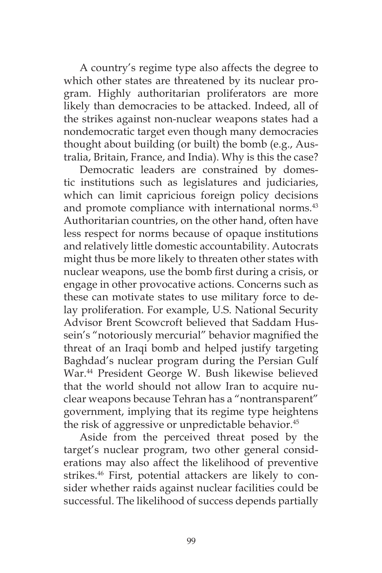A country's regime type also affects the degree to which other states are threatened by its nuclear program. Highly authoritarian proliferators are more likely than democracies to be attacked. Indeed, all of the strikes against non-nuclear weapons states had a nondemocratic target even though many democracies thought about building (or built) the bomb (e.g., Australia, Britain, France, and India). Why is this the case?

Democratic leaders are constrained by domestic institutions such as legislatures and judiciaries, which can limit capricious foreign policy decisions and promote compliance with international norms.<sup>43</sup> Authoritarian countries, on the other hand, often have less respect for norms because of opaque institutions and relatively little domestic accountability. Autocrats might thus be more likely to threaten other states with nuclear weapons, use the bomb first during a crisis, or engage in other provocative actions. Concerns such as these can motivate states to use military force to delay proliferation. For example, U.S. National Security Advisor Brent Scowcroft believed that Saddam Hussein's "notoriously mercurial" behavior magnified the threat of an Iraqi bomb and helped justify targeting Baghdad's nuclear program during the Persian Gulf War.44 President George W. Bush likewise believed that the world should not allow Iran to acquire nuclear weapons because Tehran has a "nontransparent" government, implying that its regime type heightens the risk of aggressive or unpredictable behavior.<sup>45</sup>

Aside from the perceived threat posed by the target's nuclear program, two other general considerations may also affect the likelihood of preventive strikes.<sup>46</sup> First, potential attackers are likely to consider whether raids against nuclear facilities could be successful. The likelihood of success depends partially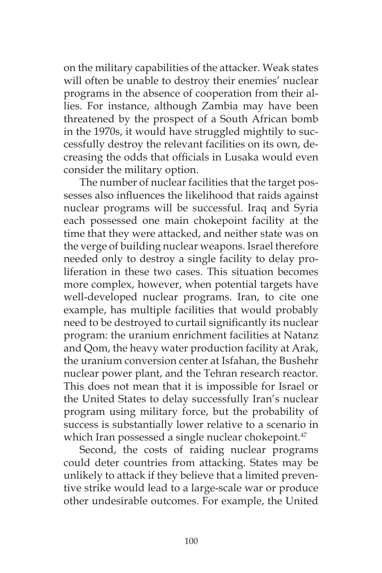on the military capabilities of the attacker. Weak states will often be unable to destroy their enemies' nuclear programs in the absence of cooperation from their allies. For instance, although Zambia may have been threatened by the prospect of a South African bomb in the 1970s, it would have struggled mightily to successfully destroy the relevant facilities on its own, decreasing the odds that officials in Lusaka would even consider the military option.

The number of nuclear facilities that the target possesses also influences the likelihood that raids against nuclear programs will be successful. Iraq and Syria each possessed one main chokepoint facility at the time that they were attacked, and neither state was on the verge of building nuclear weapons. Israel therefore needed only to destroy a single facility to delay proliferation in these two cases. This situation becomes more complex, however, when potential targets have well-developed nuclear programs. Iran, to cite one example, has multiple facilities that would probably need to be destroyed to curtail significantly its nuclear program: the uranium enrichment facilities at Natanz and Qom, the heavy water production facility at Arak, the uranium conversion center at Isfahan, the Bushehr nuclear power plant, and the Tehran research reactor. This does not mean that it is impossible for Israel or the United States to delay successfully Iran's nuclear program using military force, but the probability of success is substantially lower relative to a scenario in which Iran possessed a single nuclear chokepoint.<sup>47</sup>

Second, the costs of raiding nuclear programs could deter countries from attacking. States may be unlikely to attack if they believe that a limited preventive strike would lead to a large-scale war or produce other undesirable outcomes. For example, the United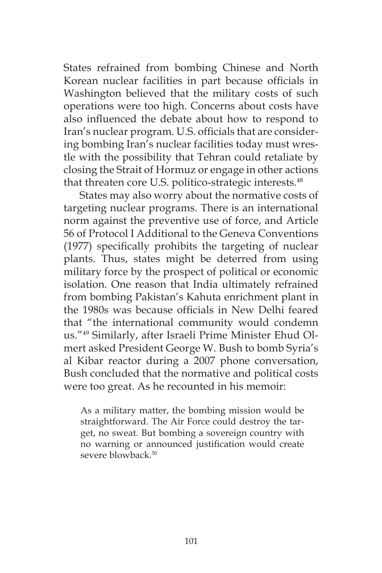States refrained from bombing Chinese and North Korean nuclear facilities in part because officials in Washington believed that the military costs of such operations were too high. Concerns about costs have also influenced the debate about how to respond to Iran's nuclear program. U.S. officials that are considering bombing Iran's nuclear facilities today must wrestle with the possibility that Tehran could retaliate by closing the Strait of Hormuz or engage in other actions that threaten core U.S. politico-strategic interests.<sup>48</sup>

States may also worry about the normative costs of targeting nuclear programs. There is an international norm against the preventive use of force, and Article 56 of Protocol I Additional to the Geneva Conventions (1977) specifically prohibits the targeting of nuclear plants. Thus, states might be deterred from using military force by the prospect of political or economic isolation. One reason that India ultimately refrained from bombing Pakistan's Kahuta enrichment plant in the 1980s was because officials in New Delhi feared that "the international community would condemn us."49 Similarly, after Israeli Prime Minister Ehud Olmert asked President George W. Bush to bomb Syria's al Kibar reactor during a 2007 phone conversation, Bush concluded that the normative and political costs were too great. As he recounted in his memoir:

As a military matter, the bombing mission would be straightforward. The Air Force could destroy the target, no sweat. But bombing a sovereign country with no warning or announced justification would create severe blowback.<sup>50</sup>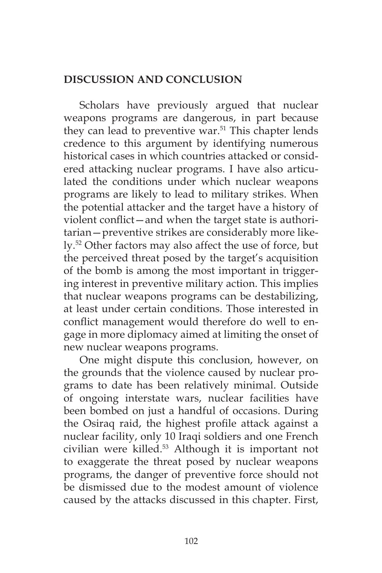# **DISCUSSION AND CONCLUSION**

Scholars have previously argued that nuclear weapons programs are dangerous, in part because they can lead to preventive war.<sup>51</sup> This chapter lends credence to this argument by identifying numerous historical cases in which countries attacked or considered attacking nuclear programs. I have also articulated the conditions under which nuclear weapons programs are likely to lead to military strikes. When the potential attacker and the target have a history of violent conflict—and when the target state is authoritarian—preventive strikes are considerably more likely.52 Other factors may also affect the use of force, but the perceived threat posed by the target's acquisition of the bomb is among the most important in triggering interest in preventive military action. This implies that nuclear weapons programs can be destabilizing, at least under certain conditions. Those interested in conflict management would therefore do well to engage in more diplomacy aimed at limiting the onset of new nuclear weapons programs.

One might dispute this conclusion, however, on the grounds that the violence caused by nuclear programs to date has been relatively minimal. Outside of ongoing interstate wars, nuclear facilities have been bombed on just a handful of occasions. During the Osiraq raid, the highest profile attack against a nuclear facility, only 10 Iraqi soldiers and one French civilian were killed.53 Although it is important not to exaggerate the threat posed by nuclear weapons programs, the danger of preventive force should not be dismissed due to the modest amount of violence caused by the attacks discussed in this chapter. First,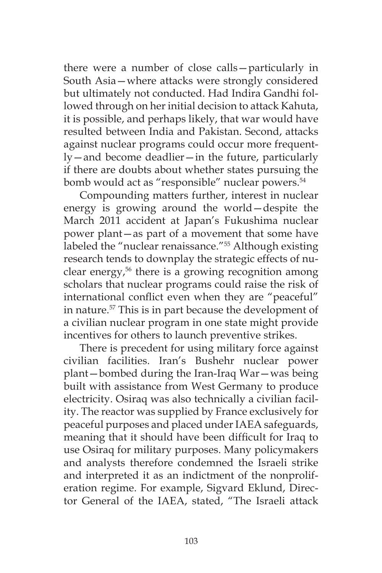there were a number of close calls—particularly in South Asia—where attacks were strongly considered but ultimately not conducted. Had Indira Gandhi followed through on her initial decision to attack Kahuta, it is possible, and perhaps likely, that war would have resulted between India and Pakistan. Second, attacks against nuclear programs could occur more frequently—and become deadlier—in the future, particularly if there are doubts about whether states pursuing the bomb would act as "responsible" nuclear powers.<sup>54</sup>

Compounding matters further, interest in nuclear energy is growing around the world—despite the March 2011 accident at Japan's Fukushima nuclear power plant—as part of a movement that some have labeled the "nuclear renaissance."55 Although existing research tends to downplay the strategic effects of nuclear energy,<sup>56</sup> there is a growing recognition among scholars that nuclear programs could raise the risk of international conflict even when they are "peaceful" in nature.57 This is in part because the development of a civilian nuclear program in one state might provide incentives for others to launch preventive strikes.

There is precedent for using military force against civilian facilities. Iran's Bushehr nuclear power plant—bombed during the Iran-Iraq War—was being built with assistance from West Germany to produce electricity. Osiraq was also technically a civilian facility. The reactor was supplied by France exclusively for peaceful purposes and placed under IAEA safeguards, meaning that it should have been difficult for Iraq to use Osiraq for military purposes. Many policymakers and analysts therefore condemned the Israeli strike and interpreted it as an indictment of the nonproliferation regime. For example, Sigvard Eklund, Director General of the IAEA, stated, "The Israeli attack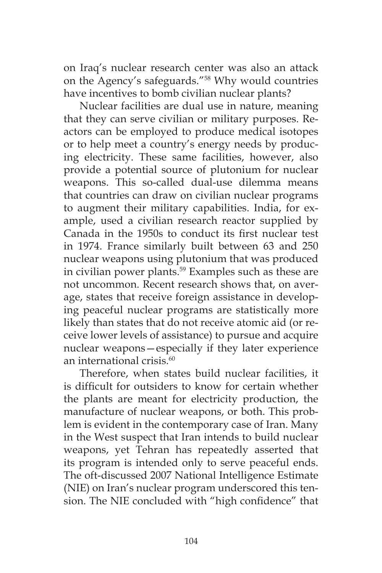on Iraq's nuclear research center was also an attack on the Agency's safeguards."58 Why would countries have incentives to bomb civilian nuclear plants?

Nuclear facilities are dual use in nature, meaning that they can serve civilian or military purposes. Reactors can be employed to produce medical isotopes or to help meet a country's energy needs by producing electricity. These same facilities, however, also provide a potential source of plutonium for nuclear weapons. This so-called dual-use dilemma means that countries can draw on civilian nuclear programs to augment their military capabilities. India, for example, used a civilian research reactor supplied by Canada in the 1950s to conduct its first nuclear test in 1974. France similarly built between 63 and 250 nuclear weapons using plutonium that was produced in civilian power plants.<sup>59</sup> Examples such as these are not uncommon. Recent research shows that, on average, states that receive foreign assistance in developing peaceful nuclear programs are statistically more likely than states that do not receive atomic aid (or receive lower levels of assistance) to pursue and acquire nuclear weapons—especially if they later experience an international crisis.<sup>60</sup>

Therefore, when states build nuclear facilities, it is difficult for outsiders to know for certain whether the plants are meant for electricity production, the manufacture of nuclear weapons, or both. This problem is evident in the contemporary case of Iran. Many in the West suspect that Iran intends to build nuclear weapons, yet Tehran has repeatedly asserted that its program is intended only to serve peaceful ends. The oft-discussed 2007 National Intelligence Estimate (NIE) on Iran's nuclear program underscored this tension. The NIE concluded with "high confidence" that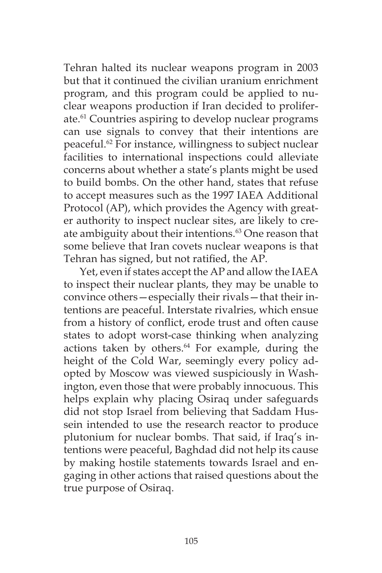Tehran halted its nuclear weapons program in 2003 but that it continued the civilian uranium enrichment program, and this program could be applied to nuclear weapons production if Iran decided to proliferate.<sup>61</sup> Countries aspiring to develop nuclear programs can use signals to convey that their intentions are peaceful.62 For instance, willingness to subject nuclear facilities to international inspections could alleviate concerns about whether a state's plants might be used to build bombs. On the other hand, states that refuse to accept measures such as the 1997 IAEA Additional Protocol (AP), which provides the Agency with greater authority to inspect nuclear sites, are likely to create ambiguity about their intentions.<sup>63</sup> One reason that some believe that Iran covets nuclear weapons is that Tehran has signed, but not ratified, the AP.

Yet, even if states accept the AP and allow the IAEA to inspect their nuclear plants, they may be unable to convince others—especially their rivals—that their intentions are peaceful. Interstate rivalries, which ensue from a history of conflict, erode trust and often cause states to adopt worst-case thinking when analyzing actions taken by others.<sup>64</sup> For example, during the height of the Cold War, seemingly every policy adopted by Moscow was viewed suspiciously in Washington, even those that were probably innocuous. This helps explain why placing Osiraq under safeguards did not stop Israel from believing that Saddam Hussein intended to use the research reactor to produce plutonium for nuclear bombs. That said, if Iraq's intentions were peaceful, Baghdad did not help its cause by making hostile statements towards Israel and engaging in other actions that raised questions about the true purpose of Osiraq.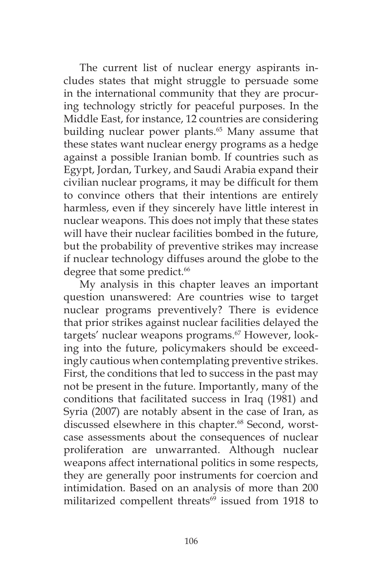The current list of nuclear energy aspirants includes states that might struggle to persuade some in the international community that they are procuring technology strictly for peaceful purposes. In the Middle East, for instance, 12 countries are considering building nuclear power plants.<sup>65</sup> Many assume that these states want nuclear energy programs as a hedge against a possible Iranian bomb. If countries such as Egypt, Jordan, Turkey, and Saudi Arabia expand their civilian nuclear programs, it may be difficult for them to convince others that their intentions are entirely harmless, even if they sincerely have little interest in nuclear weapons. This does not imply that these states will have their nuclear facilities bombed in the future, but the probability of preventive strikes may increase if nuclear technology diffuses around the globe to the degree that some predict.<sup>66</sup>

My analysis in this chapter leaves an important question unanswered: Are countries wise to target nuclear programs preventively? There is evidence that prior strikes against nuclear facilities delayed the targets' nuclear weapons programs.<sup>67</sup> However, looking into the future, policymakers should be exceedingly cautious when contemplating preventive strikes. First, the conditions that led to success in the past may not be present in the future. Importantly, many of the conditions that facilitated success in Iraq (1981) and Syria (2007) are notably absent in the case of Iran, as discussed elsewhere in this chapter.<sup>68</sup> Second, worstcase assessments about the consequences of nuclear proliferation are unwarranted. Although nuclear weapons affect international politics in some respects, they are generally poor instruments for coercion and intimidation. Based on an analysis of more than 200 militarized compellent threats<sup>69</sup> issued from 1918 to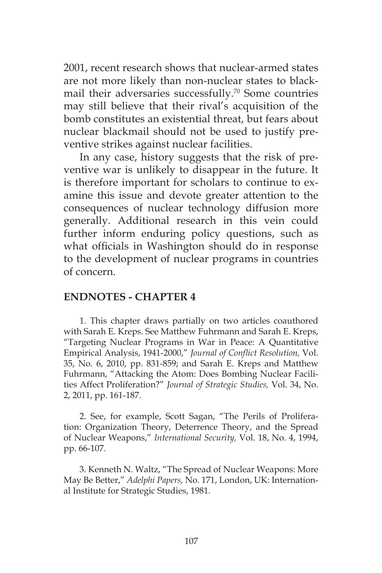2001, recent research shows that nuclear-armed states are not more likely than non-nuclear states to blackmail their adversaries successfully.<sup>70</sup> Some countries may still believe that their rival's acquisition of the bomb constitutes an existential threat, but fears about nuclear blackmail should not be used to justify preventive strikes against nuclear facilities.

In any case, history suggests that the risk of preventive war is unlikely to disappear in the future. It is therefore important for scholars to continue to examine this issue and devote greater attention to the consequences of nuclear technology diffusion more generally. Additional research in this vein could further inform enduring policy questions, such as what officials in Washington should do in response to the development of nuclear programs in countries of concern.

### **ENDNOTES - CHAPTER 4**

1. This chapter draws partially on two articles coauthored with Sarah E. Kreps. See Matthew Fuhrmann and Sarah E. Kreps, "Targeting Nuclear Programs in War in Peace: A Quantitative Empirical Analysis, 1941-2000," *Journal of Conflict Resolution,* Vol. 35, No. 6, 2010, pp. 831-859; and Sarah E. Kreps and Matthew Fuhrmann, "Attacking the Atom: Does Bombing Nuclear Facilities Affect Proliferation?" *Journal of Strategic Studies,* Vol. 34, No. 2, 2011, pp. 161-187.

2. See, for example, Scott Sagan, "The Perils of Proliferation: Organization Theory, Deterrence Theory, and the Spread of Nuclear Weapons," *International Security,* Vol. 18, No. 4, 1994, pp. 66-107.

3. Kenneth N. Waltz, "The Spread of Nuclear Weapons: More May Be Better," *Adelphi Papers,* No. 171, London, UK: International Institute for Strategic Studies, 1981.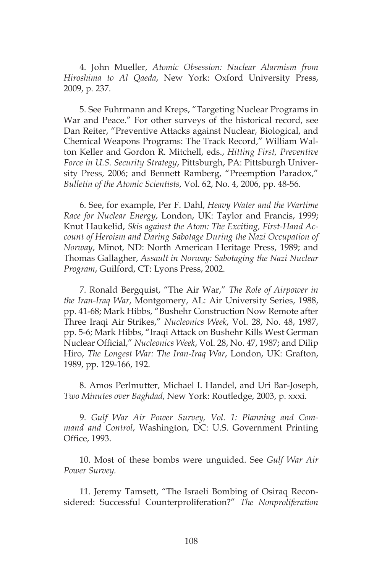4. John Mueller, *Atomic Obsession: Nuclear Alarmism from Hiroshima to Al Qaeda*, New York: Oxford University Press, 2009, p. 237.

5. See Fuhrmann and Kreps, "Targeting Nuclear Programs in War and Peace." For other surveys of the historical record, see Dan Reiter, "Preventive Attacks against Nuclear, Biological, and Chemical Weapons Programs: The Track Record," William Walton Keller and Gordon R. Mitchell, eds., *Hitting First, Preventive Force in U.S. Security Strategy*, Pittsburgh, PA: Pittsburgh University Press, 2006; and Bennett Ramberg, "Preemption Paradox," *Bulletin of the Atomic Scientists*, Vol. 62, No. 4, 2006, pp. 48-56.

6. See, for example, Per F. Dahl, *Heavy Water and the Wartime Race for Nuclear Energy*, London, UK: Taylor and Francis, 1999; Knut Haukelid, *Skis against the Atom: The Exciting, First-Hand Account of Heroism and Daring Sabotage During the Nazi Occupation of Norway*, Minot, ND: North American Heritage Press, 1989; and Thomas Gallagher, *Assault in Norway: Sabotaging the Nazi Nuclear Program*, Guilford, CT: Lyons Press, 2002.

7. Ronald Bergquist, "The Air War," *The Role of Airpower in the Iran-Iraq War*, Montgomery, AL: Air University Series, 1988, pp. 41-68; Mark Hibbs, "Bushehr Construction Now Remote after Three Iraqi Air Strikes," *Nucleonics Week*, Vol. 28, No. 48, 1987, pp. 5-6; Mark Hibbs, "Iraqi Attack on Bushehr Kills West German Nuclear Official," *Nucleonics Week*, Vol. 28, No. 47, 1987; and Dilip Hiro, *The Longest War: The Iran-Iraq War*, London, UK: Grafton, 1989, pp. 129-166, 192.

8. Amos Perlmutter, Michael I. Handel, and Uri Bar-Joseph, *Two Minutes over Baghdad*, New York: Routledge, 2003, p. xxxi.

9. *Gulf War Air Power Survey, Vol. 1: Planning and Command and Control*, Washington, DC: U.S. Government Printing Office, 1993.

10. Most of these bombs were unguided. See *Gulf War Air Power Survey.*

11. Jeremy Tamsett, "The Israeli Bombing of Osiraq Reconsidered: Successful Counterproliferation?" *The Nonproliferation*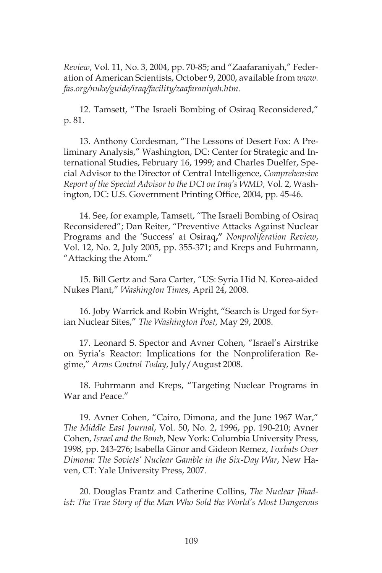*Review*, Vol. 11, No. 3, 2004, pp. 70-85; and "Zaafaraniyah," Federation of American Scientists, October 9, 2000, available from *www. fas.org/nuke/guide/iraq/facility/zaafaraniyah.htm*.

12. Tamsett, "The Israeli Bombing of Osiraq Reconsidered," p. 81.

13. Anthony Cordesman, "The Lessons of Desert Fox: A Preliminary Analysis," Washington, DC: Center for Strategic and International Studies, February 16, 1999; and Charles Duelfer, Special Advisor to the Director of Central Intelligence, *Comprehensive Report of the Special Advisor to the DCI on Iraq's WMD,* Vol. 2, Washington, DC: U.S. Government Printing Office, 2004, pp. 45-46.

14. See, for example, Tamsett, "The Israeli Bombing of Osiraq Reconsidered"; Dan Reiter, "Preventive Attacks Against Nuclear Programs and the 'Success' at Osiraq**,"** *Nonproliferation Review*, Vol. 12, No. 2, July 2005, pp. 355-371; and Kreps and Fuhrmann, "Attacking the Atom."

15. Bill Gertz and Sara Carter, "US: Syria Hid N. Korea-aided Nukes Plant," *Washington Times*, April 24, 2008.

16. Joby Warrick and Robin Wright, "Search is Urged for Syrian Nuclear Sites," *The Washington Post,* May 29, 2008.

17. Leonard S. Spector and Avner Cohen, "Israel's Airstrike on Syria's Reactor: Implications for the Nonproliferation Regime," *Arms Control Today*, July/August 2008.

18. Fuhrmann and Kreps, "Targeting Nuclear Programs in War and Peace."

19. Avner Cohen, "Cairo, Dimona, and the June 1967 War," *The Middle East Journal*, Vol. 50, No. 2, 1996, pp. 190-210; Avner Cohen, *Israel and the Bomb*, New York: Columbia University Press, 1998, pp. 243-276; Isabella Ginor and Gideon Remez, *Foxbats Over Dimona: The Soviets' Nuclear Gamble in the Six-Day War*, New Haven, CT: Yale University Press, 2007.

20. Douglas Frantz and Catherine Collins, *The Nuclear Jihadist: The True Story of the Man Who Sold the World's Most Dangerous*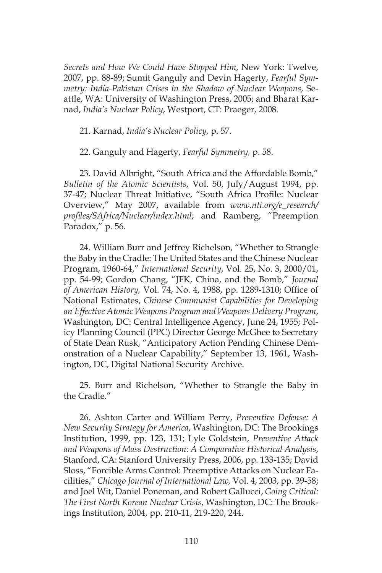*Secrets and How We Could Have Stopped Him*, New York: Twelve, 2007, pp. 88-89; Sumit Ganguly and Devin Hagerty, *Fearful Symmetry: India-Pakistan Crises in the Shadow of Nuclear Weapons*, Seattle, WA: University of Washington Press, 2005; and Bharat Karnad, *India's Nuclear Policy*, Westport, CT: Praeger, 2008.

21. Karnad, *India's Nuclear Policy,* p. 57.

22. Ganguly and Hagerty, *Fearful Symmetry,* p. 58.

23. David Albright, "South Africa and the Affordable Bomb," *Bulletin of the Atomic Scientists*, Vol. 50, July/August 1994, pp. 37-47; Nuclear Threat Initiative, "South Africa Profile: Nuclear Overview," May 2007, available from *www.nti.org/e\_research/ profiles/SAfrica/Nuclear/index.html*; and Ramberg, "Preemption Paradox," p. 56.

24. William Burr and Jeffrey Richelson, "Whether to Strangle the Baby in the Cradle: The United States and the Chinese Nuclear Program, 1960-64," *International Security*, Vol. 25, No. 3, 2000/01, pp. 54-99; Gordon Chang, "JFK, China, and the Bomb," *Journal of American History,* Vol. 74, No. 4, 1988, pp. 1289-1310; Office of National Estimates, *Chinese Communist Capabilities for Developing an Effective Atomic Weapons Program and Weapons Delivery Program*, Washington, DC: Central Intelligence Agency, June 24, 1955; Policy Planning Council (PPC) Director George McGhee to Secretary of State Dean Rusk, "Anticipatory Action Pending Chinese Demonstration of a Nuclear Capability," September 13, 1961, Washington, DC, Digital National Security Archive.

25. Burr and Richelson, "Whether to Strangle the Baby in the Cradle."

26. Ashton Carter and William Perry, *Preventive Defense: A New Security Strategy for America*, Washington, DC: The Brookings Institution, 1999, pp. 123, 131; Lyle Goldstein, *Preventive Attack and Weapons of Mass Destruction: A Comparative Historical Analysis*, Stanford, CA: Stanford University Press, 2006, pp. 133-135; David Sloss, "Forcible Arms Control: Preemptive Attacks on Nuclear Facilities," *Chicago Journal of International Law,* Vol. 4, 2003, pp. 39-58; and Joel Wit, Daniel Poneman, and Robert Gallucci, *Going Critical: The First North Korean Nuclear Crisis*, Washington, DC: The Brookings Institution, 2004, pp. 210-11, 219-220, 244.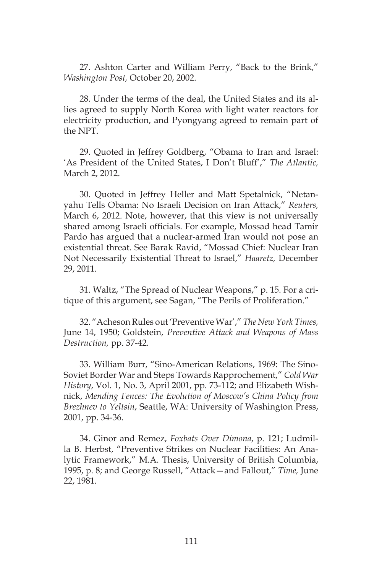27. Ashton Carter and William Perry, "Back to the Brink," *Washington Post,* October 20, 2002.

28. Under the terms of the deal, the United States and its allies agreed to supply North Korea with light water reactors for electricity production, and Pyongyang agreed to remain part of the NPT.

29. Quoted in Jeffrey Goldberg, "Obama to Iran and Israel: 'As President of the United States, I Don't Bluff'," *The Atlantic,*  March 2, 2012.

30. Quoted in Jeffrey Heller and Matt Spetalnick, "Netanyahu Tells Obama: No Israeli Decision on Iran Attack," *Reuters,*  March 6, 2012. Note, however, that this view is not universally shared among Israeli officials. For example, Mossad head Tamir Pardo has argued that a nuclear-armed Iran would not pose an existential threat. See Barak Ravid, "Mossad Chief: Nuclear Iran Not Necessarily Existential Threat to Israel," *Haaretz,* December 29, 2011.

31. Waltz, "The Spread of Nuclear Weapons," p. 15. For a critique of this argument, see Sagan, "The Perils of Proliferation."

32. "Acheson Rules out 'Preventive War'," *The New York Times,*  June 14, 1950; Goldstein, *Preventive Attack and Weapons of Mass Destruction,* pp. 37-42.

33. William Burr, "Sino-American Relations, 1969: The Sino-Soviet Border War and Steps Towards Rapprochement," *Cold War History*, Vol. 1, No. 3, April 2001, pp. 73-112; and Elizabeth Wishnick, *Mending Fences: The Evolution of Moscow's China Policy from Brezhnev to Yeltsin*, Seattle, WA: University of Washington Press, 2001, pp. 34-36.

34. Ginor and Remez, *Foxbats Over Dimona*, p. 121; Ludmilla B. Herbst, "Preventive Strikes on Nuclear Facilities: An Analytic Framework," M.A. Thesis, University of British Columbia, 1995, p. 8; and George Russell, "Attack—and Fallout," *Time,* June 22, 1981.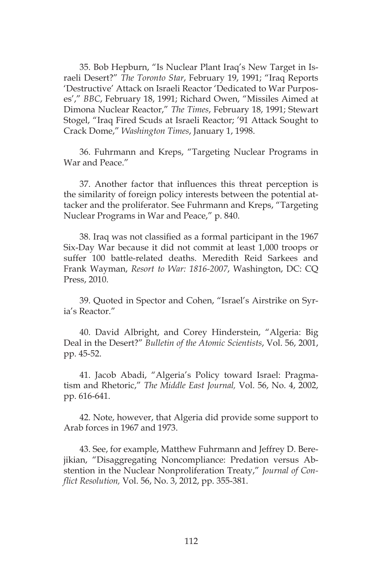35. Bob Hepburn, "Is Nuclear Plant Iraq's New Target in Israeli Desert?" *The Toronto Star*, February 19, 1991; "Iraq Reports 'Destructive' Attack on Israeli Reactor 'Dedicated to War Purposes'," *BBC*, February 18, 1991; Richard Owen, "Missiles Aimed at Dimona Nuclear Reactor," *The Times*, February 18, 1991; Stewart Stogel, "Iraq Fired Scuds at Israeli Reactor; '91 Attack Sought to Crack Dome," *Washington Times*, January 1, 1998.

36. Fuhrmann and Kreps, "Targeting Nuclear Programs in War and Peace."

37. Another factor that influences this threat perception is the similarity of foreign policy interests between the potential attacker and the proliferator. See Fuhrmann and Kreps, "Targeting Nuclear Programs in War and Peace," p. 840.

38. Iraq was not classified as a formal participant in the 1967 Six-Day War because it did not commit at least 1,000 troops or suffer 100 battle-related deaths. Meredith Reid Sarkees and Frank Wayman, *Resort to War: 1816-2007*, Washington, DC: CQ Press, 2010.

39. Quoted in Spector and Cohen, "Israel's Airstrike on Syria's Reactor."

40. David Albright, and Corey Hinderstein, "Algeria: Big Deal in the Desert?" *Bulletin of the Atomic Scientists*, Vol. 56, 2001, pp. 45-52.

41. Jacob Abadi, "Algeria's Policy toward Israel: Pragmatism and Rhetoric," *The Middle East Journal,* Vol. 56, No. 4, 2002, pp. 616-641.

42. Note, however, that Algeria did provide some support to Arab forces in 1967 and 1973.

43. See, for example, Matthew Fuhrmann and Jeffrey D. Berejikian, "Disaggregating Noncompliance: Predation versus Abstention in the Nuclear Nonproliferation Treaty," *Journal of Conflict Resolution,* Vol. 56, No. 3, 2012, pp. 355-381.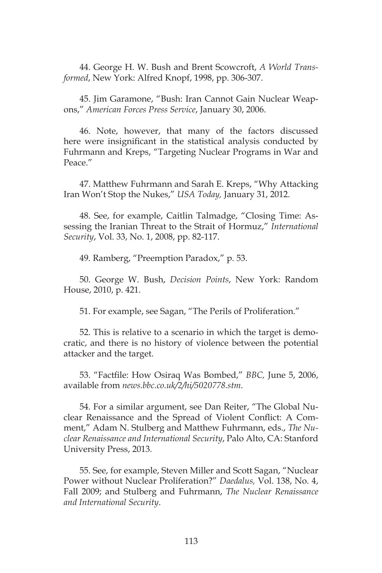44. George H. W. Bush and Brent Scowcroft, *A World Transformed*, New York: Alfred Knopf, 1998, pp. 306-307.

45. Jim Garamone, "Bush: Iran Cannot Gain Nuclear Weapons," *American Forces Press Service*, January 30, 2006.

46. Note, however, that many of the factors discussed here were insignificant in the statistical analysis conducted by Fuhrmann and Kreps, "Targeting Nuclear Programs in War and Peace."

47. Matthew Fuhrmann and Sarah E. Kreps, "Why Attacking Iran Won't Stop the Nukes," *USA Today,* January 31, 2012.

48. See, for example, Caitlin Talmadge, "Closing Time: Assessing the Iranian Threat to the Strait of Hormuz," *International Security*, Vol. 33, No. 1, 2008, pp. 82-117.

49. Ramberg, "Preemption Paradox," p. 53.

50. George W. Bush, *Decision Points*, New York: Random House, 2010, p. 421.

51. For example, see Sagan, "The Perils of Proliferation."

52. This is relative to a scenario in which the target is democratic, and there is no history of violence between the potential attacker and the target.

53. "Factfile: How Osiraq Was Bombed," *BBC,* June 5, 2006, available from *news.bbc.co.uk/2/hi/5020778.stm*.

54. For a similar argument, see Dan Reiter, "The Global Nuclear Renaissance and the Spread of Violent Conflict: A Comment," Adam N. Stulberg and Matthew Fuhrmann, eds., *The Nuclear Renaissance and International Security*, Palo Alto, CA: Stanford University Press, 2013*.*

55. See, for example, Steven Miller and Scott Sagan, "Nuclear Power without Nuclear Proliferation?" *Daedalus,* Vol. 138, No. 4, Fall 2009; and Stulberg and Fuhrmann, *The Nuclear Renaissance and International Security*.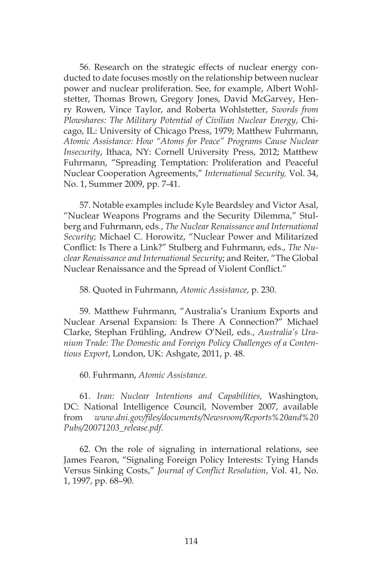56. Research on the strategic effects of nuclear energy conducted to date focuses mostly on the relationship between nuclear power and nuclear proliferation. See, for example, Albert Wohlstetter, Thomas Brown, Gregory Jones, David McGarvey, Henry Rowen, Vince Taylor, and Roberta Wohlstetter, *Swords from Plowshares: The Military Potential of Civilian Nuclear Energy*, Chicago, IL: University of Chicago Press, 1979; Matthew Fuhrmann, *Atomic Assistance: How "Atoms for Peace" Programs Cause Nuclear Insecurity*, Ithaca, NY: Cornell University Press, 2012; Matthew Fuhrmann, "Spreading Temptation: Proliferation and Peaceful Nuclear Cooperation Agreements," *International Security,* Vol. 34, No. 1, Summer 2009, pp. 7-41.

57. Notable examples include Kyle Beardsley and Victor Asal, "Nuclear Weapons Programs and the Security Dilemma," Stulberg and Fuhrmann, eds., *The Nuclear Renaissance and International Security*; Michael C. Horowitz, "Nuclear Power and Militarized Conflict: Is There a Link?" Stulberg and Fuhrmann, eds., *The Nuclear Renaissance and International Security*; and Reiter, "The Global Nuclear Renaissance and the Spread of Violent Conflict."

58. Quoted in Fuhrmann, *Atomic Assistance*, p. 230.

59. Matthew Fuhrmann, "Australia's Uranium Exports and Nuclear Arsenal Expansion: Is There A Connection?" Michael Clarke, Stephan Frühling, Andrew O'Neil, eds., *Australia's Uranium Trade: The Domestic and Foreign Policy Challenges of a Contentious Export*, London, UK: Ashgate, 2011, p. 48.

60. Fuhrmann, *Atomic Assistance.*

61. *Iran: Nuclear Intentions and Capabilities,* Washington, DC: National Intelligence Council, November 2007, available from *www.dni.gov/files/documents/Newsroom/Reports%20and%20 Pubs/20071203\_release.pdf*.

62. On the role of signaling in international relations, see James Fearon, "Signaling Foreign Policy Interests: Tying Hands Versus Sinking Costs," *Journal of Conflict Resolution*, Vol. 41, No. 1, 1997, pp. 68–90.